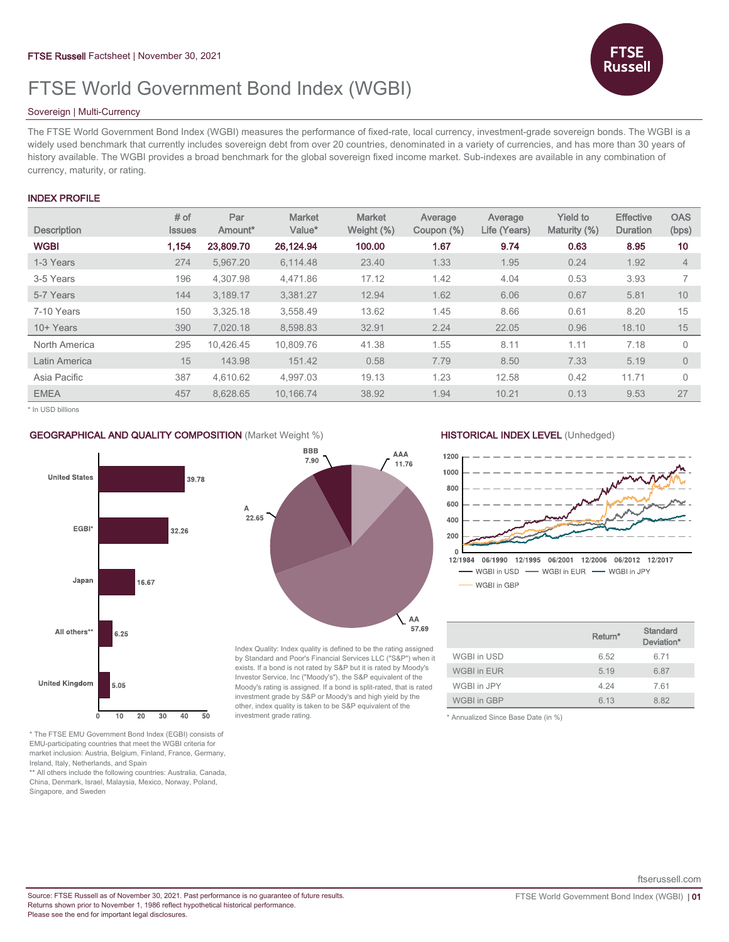# FTSE World Government Bond Index (WGBI)

# Sovereign | Multi-Currency

The FTSE World Government Bond Index (WGBI) measures the performance of fixed-rate, local currency, investment-grade sovereign bonds. The WGBI is a widely used benchmark that currently includes sovereign debt from over 20 countries, denominated in a variety of currencies, and has more than 30 years of history available. The WGBI provides a broad benchmark for the global sovereign fixed income market. Sub-indexes are available in any combination of currency, maturity, or rating.

# INDEX PROFILE

| <b>Description</b> | # of<br><b>Issues</b> | Par<br>Amount <sup>*</sup> | <b>Market</b><br>Value* | <b>Market</b><br>Weight (%) | Average<br>Coupon (%) | Average<br>Life (Years) | <b>Yield to</b><br>Maturity (%) | <b>Effective</b><br><b>Duration</b> | <b>OAS</b><br>(bps) |
|--------------------|-----------------------|----------------------------|-------------------------|-----------------------------|-----------------------|-------------------------|---------------------------------|-------------------------------------|---------------------|
| <b>WGBI</b>        | 1,154                 | 23,809.70                  | 26,124.94               | 100.00                      | 1.67                  | 9.74                    | 0.63                            | 8.95                                | 10                  |
| 1-3 Years          | 274                   | 5.967.20                   | 6,114.48                | 23.40                       | 1.33                  | 1.95                    | 0.24                            | 1.92                                | $\overline{4}$      |
| 3-5 Years          | 196                   | 4.307.98                   | 4.471.86                | 17.12                       | 1.42                  | 4.04                    | 0.53                            | 3.93                                | $\overline{7}$      |
| 5-7 Years          | 144                   | 3.189.17                   | 3.381.27                | 12.94                       | 1.62                  | 6.06                    | 0.67                            | 5.81                                | 10                  |
| 7-10 Years         | 150                   | 3,325.18                   | 3,558.49                | 13.62                       | 1.45                  | 8.66                    | 0.61                            | 8.20                                | 15                  |
| 10+ Years          | 390                   | 7,020.18                   | 8,598.83                | 32.91                       | 2.24                  | 22.05                   | 0.96                            | 18.10                               | 15                  |
| North America      | 295                   | 10.426.45                  | 10.809.76               | 41.38                       | 1.55                  | 8.11                    | 1.11                            | 7.18                                | $\Omega$            |
| Latin America      | 15                    | 143.98                     | 151.42                  | 0.58                        | 7.79                  | 8.50                    | 7.33                            | 5.19                                | $\overline{0}$      |
| Asia Pacific       | 387                   | 4.610.62                   | 4.997.03                | 19.13                       | 1.23                  | 12.58                   | 0.42                            | 11.71                               | $\Omega$            |
| <b>EMEA</b>        | 457                   | 8,628.65                   | 10,166.74               | 38.92                       | 1.94                  | 10.21                   | 0.13                            | 9.53                                | 27                  |

\* In USD billions



#### \* The FTSE EMU Government Bond Index (EGBI) consists of EMU-participating countries that meet the WGBI criteria for market inclusion: Austria, Belgium, Finland, France, Germany, Ireland, Italy, Netherlands, and Spain

\*\* All others include the following countries: Australia, Canada, China, Denmark, Israel, Malaysia, Mexico, Norway, Poland, Singapore, and Sweden

## GEOGRAPHICAL AND QUALITY COMPOSITION (Market Weight %) HISTORICAL INDEX LEVEL (Unhedged)



Russel

|                    | Return* | Standard<br>Deviation* |
|--------------------|---------|------------------------|
| WGBI in USD        | 6.52    | 6.71                   |
| <b>WGBI in EUR</b> | 5.19    | 6.87                   |
| WGBI in JPY        | 4.24    | 7.61                   |
| <b>WGBI in GBP</b> | 6 13    | 8.82                   |

\* Annualized Since Base Date (in %)

ftserussell.com